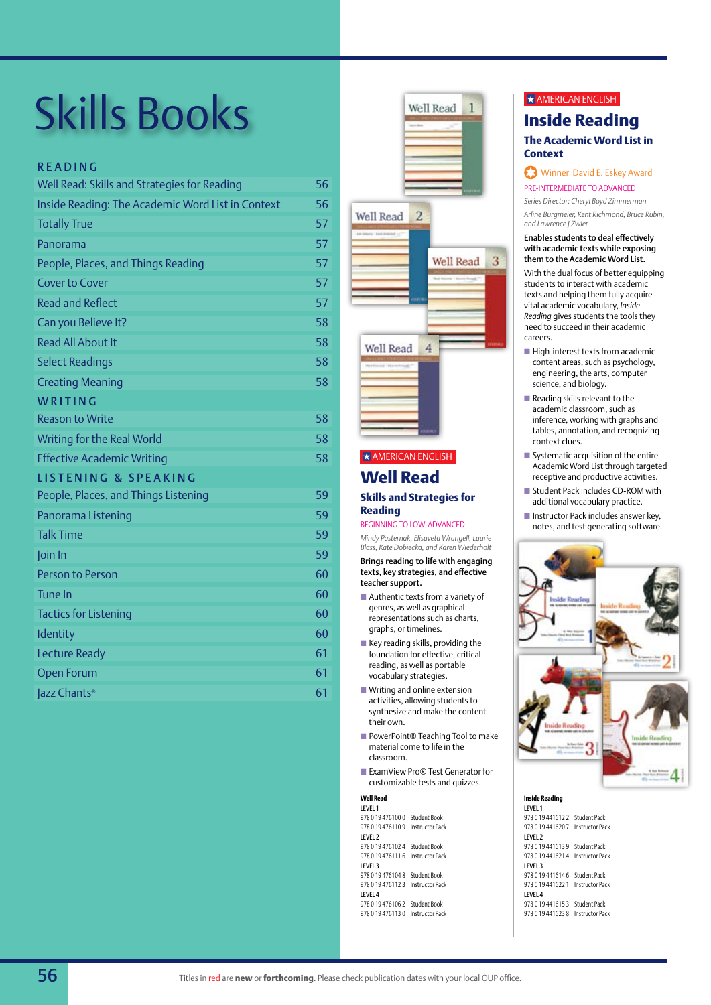## READING

| Well Read: Skills and Strategies for Reading      | 56 |
|---------------------------------------------------|----|
| Inside Reading: The Academic Word List in Context | 56 |
| <b>Totally True</b>                               | 57 |
| Panorama                                          | 57 |
| People, Places, and Things Reading                | 57 |
| <b>Cover to Cover</b>                             | 57 |
| <b>Read and Reflect</b>                           | 57 |
| Can you Believe It?                               | 58 |
| <b>Read All About It</b>                          | 58 |
| <b>Select Readings</b>                            | 58 |
| <b>Creating Meaning</b>                           | 58 |
| WRITING                                           |    |
| <b>Reason to Write</b>                            | 58 |
| Writing for the Real World                        | 58 |
| <b>Effective Academic Writing</b>                 | 58 |
| <b>LISTENING &amp; SPEAKING</b>                   |    |
| People, Places, and Things Listening              | 59 |
| Panorama Listening                                | 59 |
| <b>Talk Time</b>                                  | 59 |
| Join In                                           | 59 |
| Person to Person                                  | 60 |
| <b>Tune In</b>                                    | 60 |
| <b>Tactics for Listening</b>                      | 60 |
| Identity                                          | 60 |
| <b>Lecture Ready</b>                              | 61 |
| <b>Open Forum</b>                                 | 61 |
| Jazz Chants®                                      | 61 |





# **Well Read**  $\star$  AMERICAN ENGLISH

## **Skills and Strategies for Reading**

#### Beginning to Low-Advanced

*Mindy Pasternak, Elisaveta Wrangell, Laurie Blass, Kate Dobiecka, and Karen Wiederholt* 

Brings reading to life with engaging texts, key strategies, and effective teacher support.

- Authentic texts from a variety of genres, as well as graphical representations such as charts, graphs, or timelines.
- $\blacksquare$  Key reading skills, providing the foundation for effective, critical reading, as well as portable vocabulary strategies.
- $\blacksquare$  Writing and online extension activities, allowing students to synthesize and make the content their own.
- PowerPoint® Teaching Tool to make material come to life in the classroom.
- ExamView Pro® Test Generator for customizable tests and quizzes.

#### **Well Read**

| <b>LEVEL 1</b>                     |                        |
|------------------------------------|------------------------|
| 978 0 19 476100 0                  | Student Book           |
| 978 0 19 476110 9                  | Instructor Pack        |
| LEVEL 2                            |                        |
| 978 0 19 476102 4 Student Book     |                        |
| 978 0 19 47 6111 6 Instructor Pack |                        |
| LEVEL 3                            |                        |
| 978 0 19 476104 8                  | Student Book           |
| 978 0 19 476112 3                  | <b>Instructor Pack</b> |
| <b>IFVFI4</b>                      |                        |
| 978 0 19 476106 2 Student Book     |                        |
| 978 0 19 476113 0 Instructor Pack  |                        |

## $\star$  AMERICAN ENGLISH

## **Inside Reading The Academic Word List in Context**

## Winner David E. Eskey Award Pre-Intermediate to Advanced

*Series Director: Cheryl Boyd Zimmerman*

*Arline Burgmeier, Kent Richmond, Bruce Rubin, and Lawrence J Zwier*

#### Enables students to deal effectively with academic texts while exposing them to the Academic Word List.

With the dual focus of better equipping students to interact with academic texts and helping them fully acquire vital academic vocabulary, *Inside Reading* gives students the tools they need to succeed in their academic careers.

- $\blacksquare$  High-interest texts from academic content areas, such as psychology, engineering, the arts, computer science, and biology.
- $\blacksquare$  Reading skills relevant to the academic classroom, such as inference, working with graphs and tables, annotation, and recognizing context clues.
- $\blacksquare$  Systematic acquisition of the entire Academic Word List through targeted receptive and productive activities.
- Student Pack includes CD-ROM with additional vocabulary practice.
- **n** Instructor Pack includes answer key, notes, and test generating software.



#### **Inside Reading** Level 1 978 0 19 441612 2 Student Pack 978 0 19 441620 7 Instructor Pack Level 2 978 0 19 441613 9 Student Pack 978 0 19 441621 4 Instructor Pack Level 3 978 0 19 441614 6 Student Pack 978 0 19 441622 1 Instructor Pack Level 4 978 0 19 441615 3 Student Pack 978 0 19 441623 8 Instructor Pack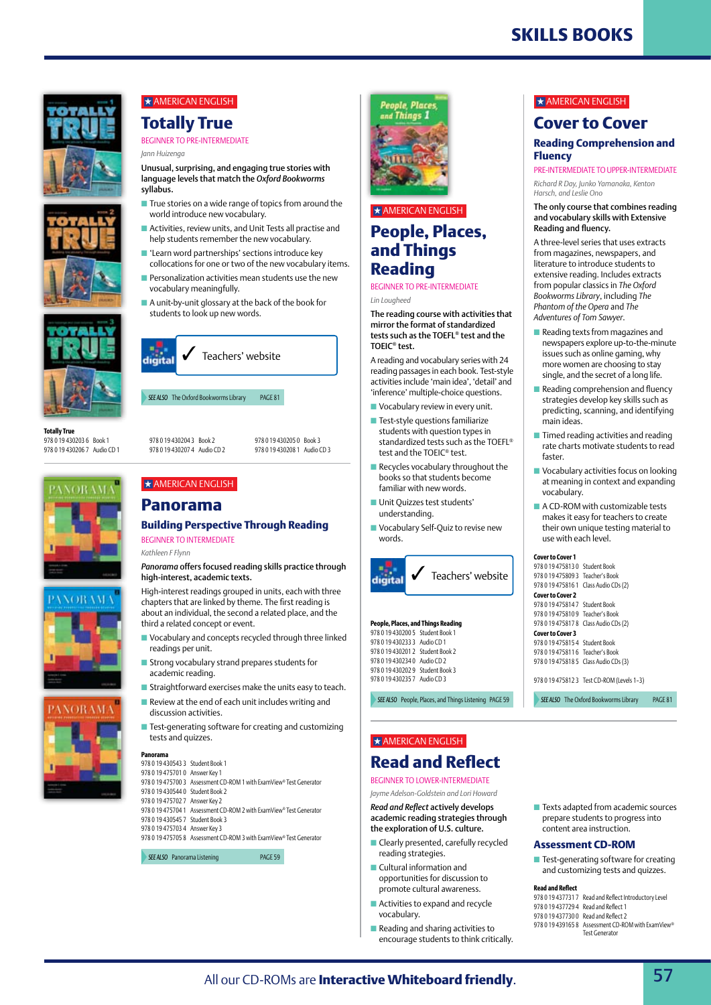

# **Cover to Cover**

#### **Reading Comprehension and Fluency**

Pre-Intermediate to Upper-intermediate

*Richard R Day, Junko Yamanaka, Kenton Harsch, and Leslie Ono* 

#### The only course that combines reading and vocabulary skills with Extensive Reading and fluency.

A three-level series that uses extracts from magazines, newspapers, and literature to introduce students to extensive reading. Includes extracts from popular classics in *The Oxford Bookworms Library*, including *The Phantom of the Opera* and *The Adventures of Tom Sawyer*.

- $\blacksquare$  Reading texts from magazines and newspapers explore up-to-the-minute issues such as online gaming, why more women are choosing to stay single, and the secret of a long life.
- $\blacksquare$  Reading comprehension and fluency strategies develop key skills such as predicting, scanning, and identifying main ideas.
- $\blacksquare$  Timed reading activities and reading rate charts motivate students to read faster.
- **N** Vocabulary activities focus on looking at meaning in context and expanding vocabulary.
- $\blacksquare$  A CD-ROM with customizable tests makes it easy for teachers to create their own unique testing material to use with each level.

#### **Cover to Cover 1**

| 978 0 19 475813 0 Student Book   |                                            |
|----------------------------------|--------------------------------------------|
| 978 0 19 475809 3 Teacher's Book |                                            |
|                                  | 978 0 19 475816 1 Class Audio CDs (2)      |
| <b>Cover to Cover 2</b>          |                                            |
| 978 0 19 475814 7 Student Book   |                                            |
| 978 0 19 475810 9 Teacher's Book |                                            |
|                                  | 978 0 19 475817 8 Class Audio CDs (2)      |
| <b>Cover to Cover 3</b>          |                                            |
| 978 0 19 475815 4 Student Book   |                                            |
| 978 0 19 475811 6 Teacher's Book |                                            |
|                                  | 978 0 19 475818 5 Class Audio CDs (3)      |
|                                  |                                            |
|                                  | 978 0 19 475812 3 Test CD-ROM (Levels 1-3) |

**SEE ALSO** The Oxford Bookworms Library PAGE 81

prepare students to progress into content area instruction.

## **Assessment CD-ROM**

 $\blacksquare$  Test-generating software for creating and customizing tests and quizzes.

#### **Read and Reflect**

978 0 19 437731 7 Read and Reflect Introductory Level 978 0 19 437729 4 Read and Reflect 1 978 0 19 437730 0 Read and Reflect 2 978 0 19 439165 8 Assessment CD-ROM with ExamView® Test Generator









# $\star$  AMERICAN ENGLISH **Totally True**

BEGINNER TO PRE-INTERMEDIATE

*Jann Huizenga*

Unusual, surprising, and engaging true stories with language levels that match the *Oxford Bookworms* syllabus.

- $\blacksquare$  True stories on a wide range of topics from around the world introduce new vocabulary.
- Activities, review units, and Unit Tests all practise and help students remember the new vocabulary.
- $\blacksquare$  'Learn word partnerships' sections introduce key collocations for one or two of the new vocabulary items.
- $\blacksquare$  Personalization activities mean students use the new vocabulary meaningfully.
- $\blacksquare$  A unit-by-unit glossary at the back of the book for students to look up new words.

**SFE ALSO** The Oxford Bookworms Library PAGE 81 Teachers' website

978 0 19 430204 3 Book 2 978 0 19 430207 4 Audio CD 2

978 0 19 430205 0 Book 3 978 0 19 430208 1 Audio CD 3

# $\star$  AMERICAN ENGLISH

# **Panorama**

## **Building Perspective Through Reading** BEGINNER TO INTERMEDIATE

*Kathleen F Flynn*

*Panorama* offers focused reading skills practice through high-interest, academic texts.

High-interest readings grouped in units, each with three chapters that are linked by theme. The first reading is about an individual, the second a related place, and the third a related concept or event.

- $\blacksquare$  Vocabulary and concepts recycled through three linked readings per unit.
- $\blacksquare$  Strong vocabulary strand prepares students for academic reading.
- $\blacksquare$  Straightforward exercises make the units easy to teach.
- $\blacksquare$  Review at the end of each unit includes writing and discussion activities.
- $\blacksquare$  Test-generating software for creating and customizing tests and quizzes.

#### **Panorama** 978 0 19 430543 3 Student Book 1

- 978 0 19 475701 0 Answer Key 1 978 0 19 475700 3 Assessment CD-ROM 1 with ExamView® Test Generator
- 978 0 19 430544 0 Student Book 2
- 978 0 19 475702 7 Answer Key 2
- 978 0 19 475704 1 Assessment CD-ROM 2 with ExamView® Test Generator
	- 978 0 19 430545 7 Student Book 3
	- 978 0 19 475703 4 Answer Key 3
- 978 0 19 475705 8 Assessment CD-ROM 3 with ExamView® Test Generator

**SEE ALSO** Panorama Listening **PAGE 59** 



*See also* People, Places, and Things Listening page 59

 $\star$  AMERICAN ENGLISH

Place d Things

**People, Places, and Things Reading**

BEGINNER TO PRE-INTERMEDIATE

test and the TOEIC® test.  $\blacksquare$  Recycles vocabulary throughout the books so that students become familiar with new words. ■ Unit Quizzes test students' understanding.

■ Vocabulary Self-Quiz to revise new

Teachers' website

**People, Places, and Things Reading** 978 0 19 430200 5 Student Book 1 978 0 19 430233 3 Audio CD 1 978 0 19 430201 2 Student Book 2 978 0 19 430234 0 Audio CD 2 978 0 19 430202 9 Student Book 3 978 0 19 430235 7 Audio CD 3

The reading course with activities that mirror the format of standardized tests such as the TOEFL® test and the

A reading and vocabulary series with 24 reading passages in each book. Test-style activities include 'main idea', 'detail' and 'inference' multiple-choice questions.  $\blacksquare$  Vocabulary review in every unit.  $\blacksquare$  Test-style questions familiarize students with question types in standardized tests such as the TOEFL®

*Lin Lougheed*

TOEIC® test.

words.

digital

*Jayme Adelson-Goldstein and Lori Howard*

#### *Read and Reflect* actively develops academic reading strategies through the exploration of U.S. culture.

- $\blacksquare$  Clearly presented, carefully recycled reading strategies.
- $\blacksquare$  Cultural information and opportunities for discussion to promote cultural awareness.
- $\blacksquare$  Activities to expand and recycle vocabulary.
- $\blacksquare$  Reading and sharing activities to encourage students to think critically.

 $\blacksquare$  Texts adapted from academic sources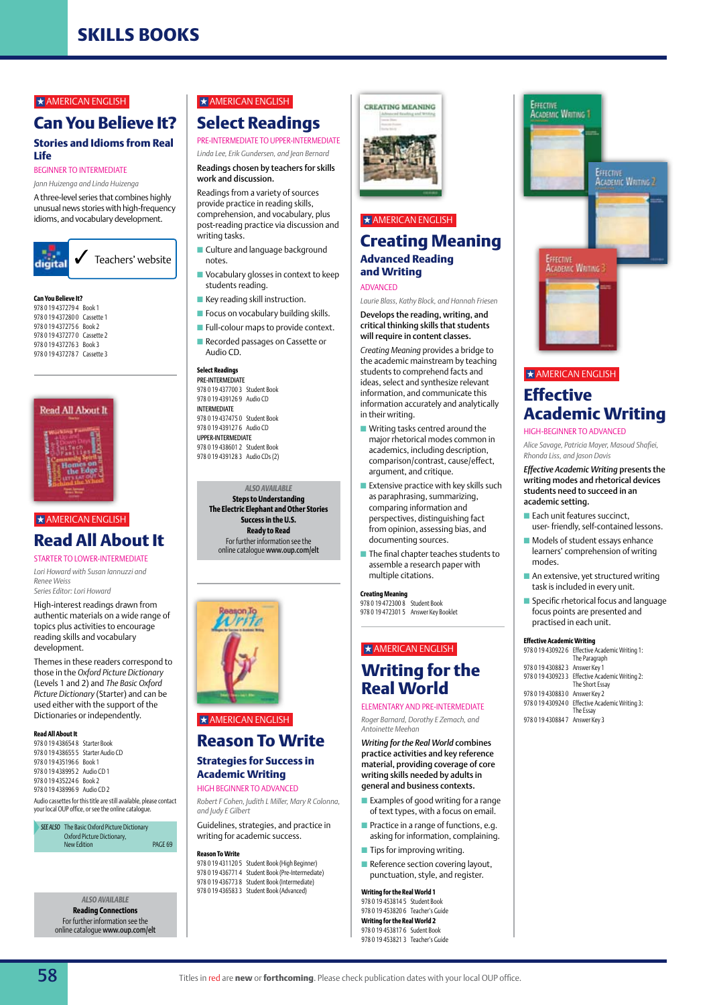#### $\star$  AMERICAN ENGLISH

# **Can You Believe It?**

## **Stories and Idioms from Real Life**

BEGINNER TO INTERMEDIATE *Jann Huizenga and Linda Huizenga*

A three-level series that combines highly unusual news stories with high-frequency idioms, and vocabulary development.



#### **Can You Believe It?**

978 0 19 437279 4 Book 1 978 0 19 437280 0 Cassette 1 978 0 19 437275 6 Book 2 978 0 19 437277 0 Cassette 2 978 0 19 437276 3 Book 3 978 0 19 437278 7 Cassette 3



## $\star$  AMERICAN ENGLISH

# **Read All About It**

STARTER TO lower-INTERMEDIATE *Lori Howard with Susan Iannuzzi and Renee Weiss*

*Series Editor: Lori Howard*

High-interest readings drawn from authentic materials on a wide range of topics plus activities to encourage reading skills and vocabulary development.

Themes in these readers correspond to those in the *Oxford Picture Dictionary* (Levels 1 and 2) and *The Basic Oxford Picture Dictionary* (Starter) and can be used either with the support of the Dictionaries or independently.

#### **Read All About It**

978 0 19 438654 8 Starter Book 978 0 19 438655 5 Starter Audio CD 978 0 19 435196 6 Book 1 978 0 19 438995 2 Audio CD 1 978 0 19 435224 6 Book 2 978 0 19 438996 9 Audio CD 2 Audio cassettes for this title are still available, please contact your local OUP office, or see the online catalogue.

*See also* The Basic Oxford Picture Dictionary Oxford Picture Dictionary, Safety PAGE 69<br>New Edition **page 69** 

> *ALSO AVAILABLE*  **Reading Connections** For further information see the online catalogue www.oup.com/elt

# $\star$  AMERICAN ENGLISH **Select Readings**

PRE-INTERMEDIATE TO UPPER-INTERMEDIATE

#### *Linda Lee, Erik Gundersen, and Jean Bernard* Readings chosen by teachers for skills

# work and discussion.

Readings from a variety of sources provide practice in reading skills, comprehension, and vocabulary, plus post-reading practice via discussion and writing tasks.

- **n** Culture and language background notes.
- $\blacksquare$  Vocabulary glosses in context to keep students reading.
- $\blacksquare$  Key reading skill instruction.
- $\blacksquare$  Focus on vocabulary building skills.
- **n** Full-colour maps to provide context.
- **n** Recorded passages on Cassette or Audio CD.

#### **Select Readings**

Pre-Intermediate 978 0 19 437700 3 Student Book 978 0 19 439126 9 Audio CD Intermediate 978 0 19 437475 0 Student Book 978 0 19 439127 6 Audio CD Upper-Intermediate 978 0 19 438601 2 Student Book 978 0 19 439128 3 Audio CDs (2)

*ALSO AVAILABLE*  **Steps to Understanding The Electric Elephant and Other Stories Success in the U.S. Ready to Read** For further information see the online catalogue www.oup.com/elt



# $\star$  AMERICAN ENGLISH

# **Reason To Write**

### **Strategies for Success in Academic Writing**

## HIGH BEGINNER TO ADVANCED

*Robert F Cohen, Judith L Miller, Mary R Colonna, and Judy E Gilbert*

Guidelines, strategies, and practice in writing for academic success.

## **Reason To Write**

978 0 19 431120 5 Student Book (High Beginner) 978 0 19 436771 4 Student Book (Pre-Intermediate) 978 0 19 436773 8 Student Book (Intermediate) 978 0 19 436583 3 Student Book (Advanced)



## $\star$  AMERICAN ENGLISH

## **Creating Meaning Advanced Reading and Writing**

#### Advanced

*Laurie Blass, Kathy Block, and Hannah Friesen* Develops the reading, writing, and

critical thinking skills that students will require in content classes. *Creating Meaning* provides a bridge to

the academic mainstream by teaching students to comprehend facts and ideas, select and synthesize relevant information, and communicate this information accurately and analytically in their writing.

- $\blacksquare$  Writing tasks centred around the major rhetorical modes common in academics, including description, comparison/contrast, cause/effect, argument, and critique.
- $\blacksquare$  Extensive practice with key skills such as paraphrasing, summarizing, comparing information and perspectives, distinguishing fact from opinion, assessing bias, and documenting sources.
- $\blacksquare$  The final chapter teaches students to assemble a research paper with multiple citations.

## **Creating Meaning**

978 0 19 472300 8 Student Book 978 0 19 472301 5 Answer Key Booklet

## $\star$  AMERICAN ENGLISH

# **Writing for the Real World** ELEMENTARY and Pre-intermediate

*Roger Barnard, Dorothy E Zemach, and Antoinette Meehan*

*Writing for the Real World* combines practice activities and key reference material, providing coverage of core writing skills needed by adults in general and business contexts.

- $\blacksquare$  Examples of good writing for a range of text types, with a focus on email.
- $\blacksquare$  Practice in a range of functions, e.g. asking for information, complaining.
- $\blacksquare$  Tips for improving writing.
- $\blacksquare$  Reference section covering layout, punctuation, style, and register.

#### **Writing for the Real World 1**

978 0 19 453814 5 Student Book 978 0 19 453820 6 Teacher's Guide **Writing for the Real World 2** 978 0 19 453817 6 Sudent Book 978 0 19 453821 3 Teacher's Guide



#### $\star$  AMERICAN ENGLISH

# **Effective Academic Writing**

#### High-Beginner to Advanced

*Alice Savage, Patricia Mayer, Masoud Shafiei, Rhonda Liss, and Jason Davis* 

#### *Effective Academic Writing* presents the writing modes and rhetorical devices students need to succeed in an academic setting.

- $\blacksquare$  Each unit features succinct, user- friendly, self-contained lessons.
- $\blacksquare$  Models of student essays enhance learners' comprehension of writing modes.
- $\blacksquare$  An extensive, yet structured writing task is included in every unit.
- $\blacksquare$  Specific rhetorical focus and language focus points are presented and practised in each unit.

#### **Effective Academic Writing**

|                                | 978 0 19 430922 6 Effective Academic Writing 1:<br>The Paragraph   |
|--------------------------------|--------------------------------------------------------------------|
| 978 0 19 430882 3 Answer Key 1 |                                                                    |
|                                | 978 0 19 430923 3 Effective Academic Writing 2:<br>The Short Essay |
| 978 0 19 430883 0 Answer Key 2 |                                                                    |
|                                | 978 0 19 430924 0 Effective Academic Writing 3:<br>The Essay       |

978 0 19 430884 7 Answer Key 3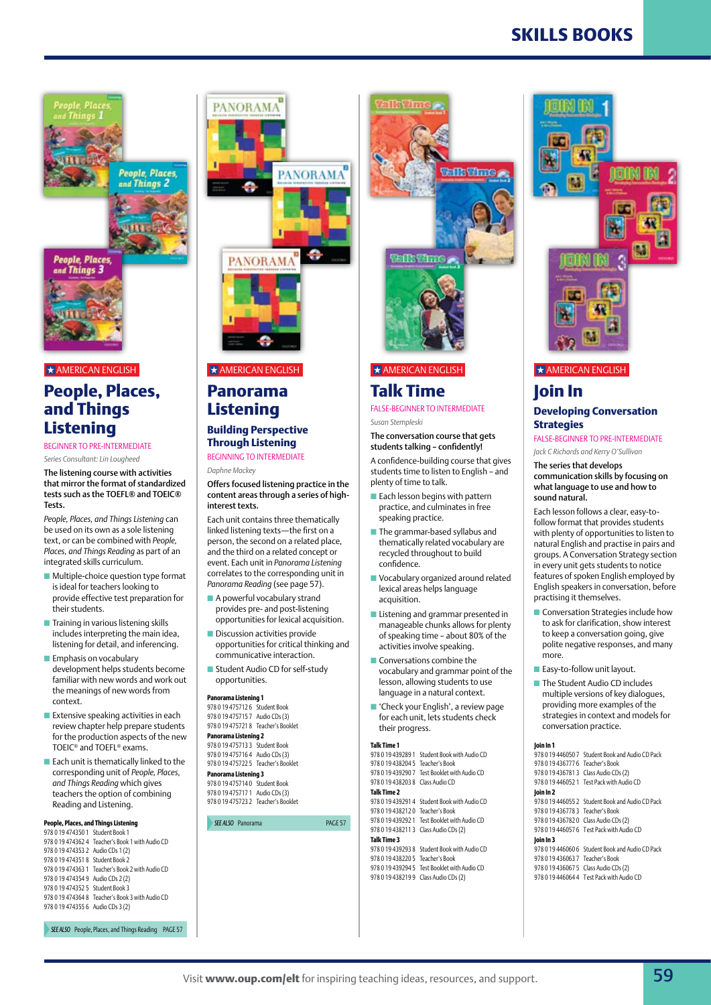**People, Places,** People, Places. and Things 3

d Things 2

 $\star$  AMERICAN ENGLISH

# **People, Places, and Things Listening**

Beginner to Pre-Intermediate

*Series Consultant: Lin Lougheed* 

The listening course with activities that mirror the format of standardized tests such as the TOEFL® and TOEIC® Tests.

*People, Places, and Things Listening* can be used on its own as a sole listening text, or can be combined with *People, Places, and Things Reading* as part of an integrated skills curriculum.

- $\blacksquare$  Multiple-choice question type format is ideal for teachers looking to provide effective test preparation for their students.
- $\blacksquare$  Training in various listening skills includes interpreting the main idea, listening for detail, and inferencing.
- $\blacksquare$  Emphasis on vocabulary development helps students become familiar with new words and work out the meanings of new words from context.
- $\blacksquare$  Extensive speaking activities in each review chapter help prepare students for the production aspects of the new TOEIC® and TOEFL® exams.
- $\blacksquare$  Each unit is thematically linked to the corresponding unit of *People, Places, and Things Reading* which gives teachers the option of combining Reading and Listening.

#### **People, Places, and Things Listening**  978 0 19 474350 1 Student Book 1

978 0 19 474362 4 Teacher's Book 1 with Audio CD 978 0 19 474353 2 Audio CDs 1 (2) 978 0 19 474351 8 Student Book 2 978 0 19 474363 1 Teacher's Book 2 with Audio CD 978 0 19 474354 9 Audio CDs 2 (2) 978 0 19 474352 5 Student Book 3 978 0 19 474364 8 Teacher's Book 3 with Audio CD 978 0 19 474355 6 Audio CDs 3 (2)

PANORAMA<sup>8</sup> ÷ **PANORAMA** 

**PANORAMA** 

#### $\star$  AMERICAN ENGLISH

# **Panorama Listening**

#### **Building Perspective Through Listening** Beginning to Intermediate

*Daphne Mackey*

Offers focused listening practice in the content areas through a series of highinterest texts.

Each unit contains three thematically linked listening texts—the first on a person, the second on a related place, and the third on a related concept or event. Each unit in *Panorama Listening* correlates to the corresponding unit in *Panorama Reading* (see page 57).

- $\blacksquare$  A powerful vocabulary strand provides pre- and post-listening opportunities for lexical acquisition.
- $\blacksquare$  Discussion activities provide opportunities for critical thinking and communicative interaction.
- Student Audio CD for self-study opportunities.

#### **Panorama Listening 1**

978 0 19 475712 6 Student Book 978 0 19 475715 7 Audio CDs (3) 978 0 19 475721 8 Teacher's Booklet **Panorama Listening 2**

978 0 19 475713 3 Student Book 978 0 19 475716 4 Audio CDs (3) 978 0 19 475722 5 Teacher's Booklet **Panorama Listening 3**

978 0 19 475714 0 Student Book 978 0 19 475717 1 Audio CDs (3) 978 0 19 475723 2 Teacher's Booklet

**SEE ALSO** Panorama **page 57** 



## $\star$  AMERICAN ENGLISH

## **Talk Time** False-Beginner to Intermediate

*Susan Stempleski*

#### The conversation course that gets students talking – confidently!

A confidence-building course that gives students time to listen to English – and plenty of time to talk.

- $\blacksquare$  Each lesson begins with pattern practice, and culminates in free speaking practice.
- $\blacksquare$  The grammar-based syllabus and thematically related vocabulary are recycled throughout to build confidence.
- **n** Vocabulary organized around related lexical areas helps language acquisition.
- $\blacksquare$  Listening and grammar presented in manageable chunks allows for plenty of speaking time – about 80% of the activities involve speaking.
- $\blacksquare$  Conversations combine the vocabulary and grammar point of the lesson, allowing students to use language in a natural context.
- 'Check your English', a review page for each unit, lets students check their progress.

#### **Talk Time 1**

978 0 19 439289 1 Student Book with Audio CD 978 0 19 438204 5 Teacher's Book 978 0 19 439290 7 Test Booklet with Audio CD 978 0 19 438203 8 Class Audio CD

#### **Talk Time 2**

978 0 19 439291 4 Student Book with Audio CD 978 0 19 438212 0 Teacher's Book 978 0 19 439292 1 Test Booklet with Audio CD 978 0 19 438211 3 Class Audio CDs (2) **Talk Time 3**

#### 978 0 19 439293 8 Student Book with Audio CD

978 0 19 438220 5 Teacher's Book 978 0 19 439294 5 Test Booklet with Audio CD 978 0 19 438219 9 Class Audio CDs (2)



## $\star$  AMERICAN ENGLISH

## **Join In Developing Conversation Strategies**

False-Beginner to Pre-Intermediate

*Jack C Richards and Kerry O'Sullivan*

The series that develops communication skills by focusing on what language to use and how to sound natural.

Each lesson follows a clear, easy-tofollow format that provides students with plenty of opportunities to listen to natural English and practise in pairs and groups. A Conversation Strategy section in every unit gets students to notice features of spoken English employed by English speakers in conversation, before practising it themselves.

- **n** Conversation Strategies include how to ask for clarification, show interest to keep a conversation going, give polite negative responses, and many more.
- **Easy-to-follow unit layout.**
- The Student Audio CD includes multiple versions of key dialogues, providing more examples of the strategies in context and models for conversation practice.

#### **Join In 1**

978 0 19 446050 7 Student Book and Audio CD Pack 978 0 19 436777 6 Teacher's Book 978 0 19 436781 3 Class Audio CDs (2)

978 0 19 446052 1 Test Pack with Audio CD **Join In 2**

978 0 19 446055 2 Student Book and Audio CD Pack 978 0 19 436778 3 Teacher's Book 978 0 19 436782 0 Class Audio CDs (2)

978 0 19 446057 6 Test Pack with Audio CD

## **Join In 3**

978 0 19 446060 6 Student Book and Audio CD Pack 978 0 19 436063 7 Teacher's Book 978 0 19 436067 5 Class Audio CDs (2) 978 0 19 446064 4 Test Pack with Audio CD

**SEE ALSO** People, Places, and Things Reading PAGE 57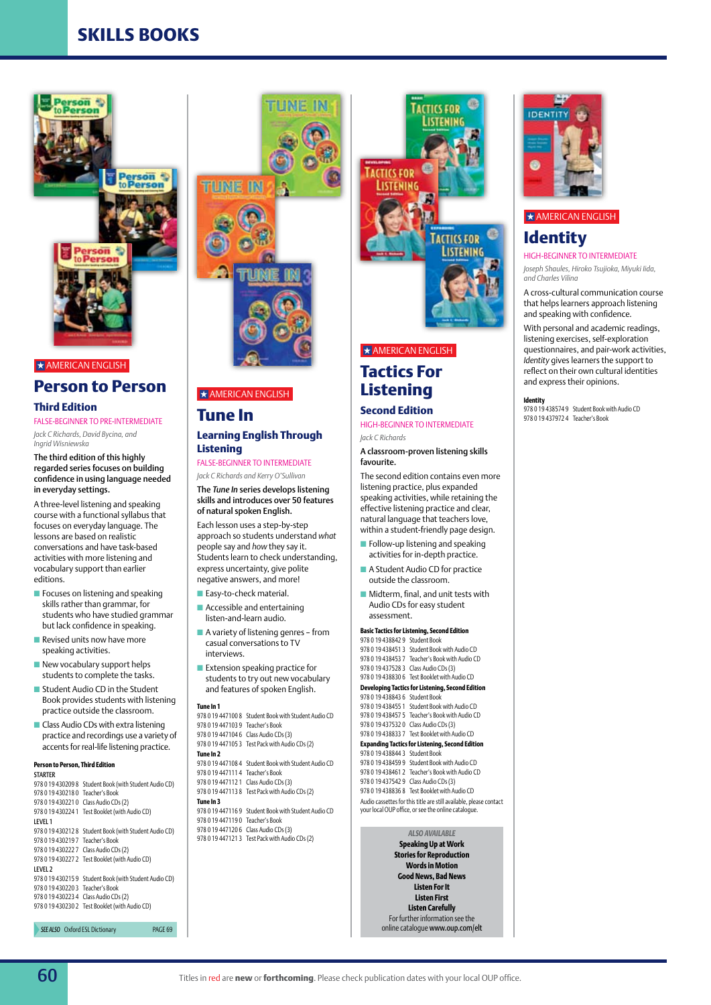

#### $\star$  AMERICAN ENGLISH

# **Person to Person**

## **Third Edition**

FALSE-BEGINNER TO PRE-INTERMEDIATE

*Jack C Richards, David Bycina, and Ingrid Wisniewska*

#### The third edition of this highly regarded series focuses on building confidence in using language needed in everyday settings.

A three-level listening and speaking course with a functional syllabus that focuses on everyday language. The lessons are based on realistic conversations and have task-based activities with more listening and vocabulary support than earlier editions.

- **n** Focuses on listening and speaking skills rather than grammar, for students who have studied grammar but lack confidence in speaking.
- $\blacksquare$  Revised units now have more speaking activities.
- $\blacksquare$  New vocabulary support helps students to complete the tasks.
- Student Audio CD in the Student Book provides students with listening practice outside the classroom.
- $\blacksquare$  Class Audio CDs with extra listening practice and recordings use a variety of accents for real-life listening practice.

#### **Person to Person, Third Edition** Starter

978 0 19 430209 8 Student Book (with Student Audio CD) 978 0 19 430218 0 Teacher's Book 978 0 19 430221 0 Class Audio CDs (2) 978 0 19 430224 1 Test Booklet (with Audio CD) Level 1 978 0 19 430212 8 Student Book (with Student Audio CD) 978 0 19 430219 7 Teacher's Book 978 0 19 430222 7 Class Audio CDs (2) 978 0 19 430227 2 Test Booklet (with Audio CD) Level 2 978 0 19 430215 9 Student Book (with Student Audio CD) 978 0 19 430220 3 Teacher's Book 978 0 19 430223 4 Class Audio CDs (2) 978 0 19 430230 2 Test Booklet (with Audio CD)

**SEE ALSO** Oxford ESL Dictionary **PAGE 69** 



## $\star$  AMERICAN ENGLISH

# **Tune In**

## **Learning English Through Listening**

False-Beginner to Intermediate *Jack C Richards and Kerry O'Sullivan*

The *Tune In* series develops listening skills and introduces over 50 features of natural spoken English.

Each lesson uses a step-by-step approach so students understand *what* people say and *how* they say it. Students learn to check understanding, express uncertainty, give polite negative answers, and more!

- **n** Easy-to-check material.
- $\blacksquare$  Accessible and entertaining listen-and-learn audio.
- $\blacksquare$  A variety of listening genres from casual conversations to TV interviews.
- $\blacksquare$  Extension speaking practice for students to try out new vocabulary and features of spoken English.

#### **Tune In 1**

978 0 19 447100 8 Student Book with Student Audio CD 978 0 19 447103 9 Teacher's Book 978 0 19 447104 6 Class Audio CDs (3) 978 0 19 447105 3 Test Pack with Audio CDs (2) **Tune In 2** 978 0 19 447108 4 Student Book with Student Audio CD 978 0 19 447111 4 Teacher's Book 978 0 19 447112 1 Class Audio CDs (3) 978 0 19 447113 8 Test Pack with Audio CDs (2) **Tune In 3** 978 0 19 447116 9 Student Book with Student Audio CD 978 0 19 447119 0 Teacher's Book 978 0 19 447120 6 Class Audio CDs (3)

# 978 0 19 447121 3 Test Pack with Audio CDs (2)



# $\star$  AMERICAN ENGLISH

# **Tactics For**

# **Listening**

#### **Second Edition** High-Beginner to intermediate

*Jack C Richards*

A classroom-proven listening skills favourite.

The second edition contains even more listening practice, plus expanded speaking activities, while retaining the effective listening practice and clear, natural language that teachers love, within a student-friendly page design.

- $\blacksquare$  Follow-up listening and speaking activities for in-depth practice.
- $\blacksquare$  A Student Audio CD for practice outside the classroom.
- $\blacksquare$  Midterm, final, and unit tests with Audio CDs for easy student assessment.

#### **Basic Tactics for Listening, Second Edition** 978 0 19 438842 9 Student Book

978 0 19 438451 3 Student Book with Audio CD 978 0 19 438453 7 Teacher's Book with Audio CD 978 0 19 437528 3 Class Audio CDs (3) 978 0 19 438830 6 Test Booklet with Audio CD **Developing Tactics for Listening, Second Edition** 978 0 19 438843 6 Student Book 978 0 19 438455 1 Student Book with Audio CD 978 0 19 438457 5 Teacher's Book with Audio CD 978 0 19 437532 0 Class Audio CDs (3) 978 0 19 438833 7 Test Booklet with Audio CD **Expanding Tactics for Listening, Second Edition** 978 0 19 438844 3 Student Book 978 0 19 438459 9 Student Book with Audio CD 978 0 19 438461 2 Teacher's Book with Audio CD 978 0 19 437542 9 Class Audio CDs (3) 978 0 19 438836 8 Test Booklet with Audio CD

Audio cassettes for this title are still available, please contact your local OUP office, or see the online catalogue.

> *ALSO AVAILABLE* **Speaking Up at Work Stories for Reproduction Words in Motion Good News, Bad News Listen For It Listen First Listen Carefully** For further information see the online catalogue www.oup.com/elt



## $\star$  AMERICAN ENGLISH

# **Identity**

## HIGH-BEGINNER TO INTERMEDIATE

*Joseph Shaules, Hiroko Tsujioka, Miyuki Iida, and Charles Vilina*

A cross-cultural communication course that helps learners approach listening and speaking with confidence.

With personal and academic readings, listening exercises, self-exploration questionnaires, and pair-work activities, *Identity* gives learners the support to reflect on their own cultural identities and express their opinions.

#### **Identity**

978 0 19 438574 9 Student Book with Audio CD 978 0 19 437972 4 Teacher's Book